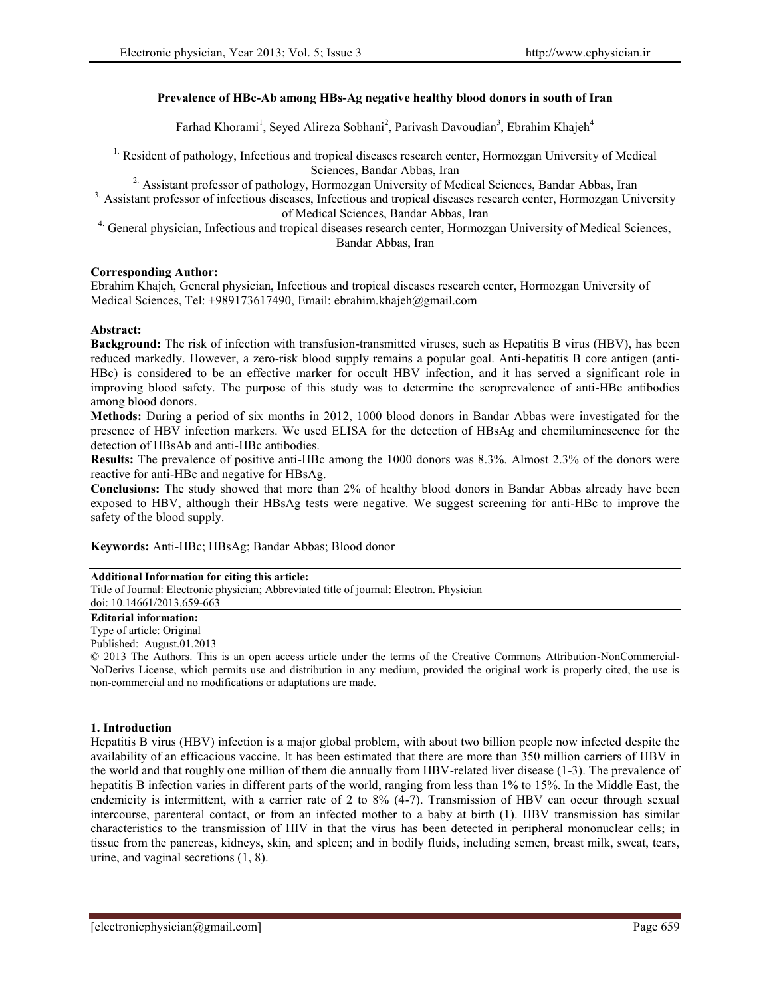# **Prevalence of HBc-Ab among HBs-Ag negative healthy blood donors in south of Iran**

Farhad Khorami<sup>1</sup>, Seyed Alireza Sobhani<sup>2</sup>, Parivash Davoudian<sup>3</sup>, Ebrahim Khajeh<sup>4</sup>

<sup>1.</sup> Resident of pathology, Infectious and tropical diseases research center, Hormozgan University of Medical Sciences, Bandar Abbas, Iran

<sup>2</sup> Assistant professor of pathology, Hormozgan University of Medical Sciences, Bandar Abbas, Iran

<sup>3</sup>. Assistant professor of infectious diseases, Infectious and tropical diseases research center, Hormozgan University of Medical Sciences, Bandar Abbas, Iran

4. General physician, Infectious and tropical diseases research center, Hormozgan University of Medical Sciences, Bandar Abbas, Iran

# **Corresponding Author:**

Ebrahim Khajeh, General physician, Infectious and tropical diseases research center, Hormozgan University of Medical Sciences, Tel: +989173617490, Email: ebrahim.khajeh@gmail.com

# **Abstract:**

**Background:** The risk of infection with transfusion-transmitted viruses, such as Hepatitis B virus (HBV), has been reduced markedly. However, a zero-risk blood supply remains a popular goal. Anti-hepatitis B core antigen (anti- HBc) is considered to be an effective marker for occult HBV infection, and it has served a significant role in improving blood safety. The purpose of this study was to determine the seroprevalence of anti-HBc antibodies among blood donors.

**Methods:** During a period of six months in 2012, 1000 blood donors in Bandar Abbas were investigated for the presence of HBV infection markers. We used ELISA for the detection of HBsAg and chemiluminescence for the detection of HBsAb and anti-HBc antibodies.

**Results:** The prevalence of positive anti-HBc among the 1000 donors was 8.3%. Almost 2.3% of the donors were reactive for anti-HBc and negative for HBsAg.

**Conclusions:** The study showed that more than 2% of healthy blood donors in Bandar Abbas already have been exposed to HBV, although their HBsAg tests were negative. We suggest screening for anti-HBc to improve the safety of the blood supply.

**Keywords:** Anti-HBc; HBsAg; Bandar Abbas; Blood donor

#### **Additional Information for citing this article:**

Title of Journal: Electronic physician; Abbreviated title of journal: Electron. Physician

#### doi: 10.14661/2013.659-663 **Editorial information:**

# Type of article: Original

Published: August.01.2013

© 2013 The Authors. This is an open access article under the terms of the Creative Commons Attribution-NonCommercial- NoDerivs License, which permits use and distribution in any medium, provided the original work is properly cited, the use is non-commercial and no modifications or adaptations are made.

# **1. Introduction**

Hepatitis B virus (HBV) infection is a major global problem, with about two billion people now infected despite the availability of an efficacious vaccine. It has been estimated that there are more than 350 million carriers of HBV in the world and that roughly one million of them die annually from HBV-related liver disease (1-3). The prevalence of hepatitis B infection varies in different parts of the world, ranging from less than 1% to 15%. In the Middle East, the endemicity is intermittent, with a carrier rate of 2 to 8% (4-7). Transmission of HBV can occur through sexual intercourse, parenteral contact, or from an infected mother to a baby at birth (1). HBV transmission has similar characteristics to the transmission of HIV in that the virus has been detected in peripheral mononuclear cells; in tissue from the pancreas, kidneys, skin, and spleen; and in bodily fluids, including semen, breast milk, sweat, tears, urine, and vaginal secretions (1, 8).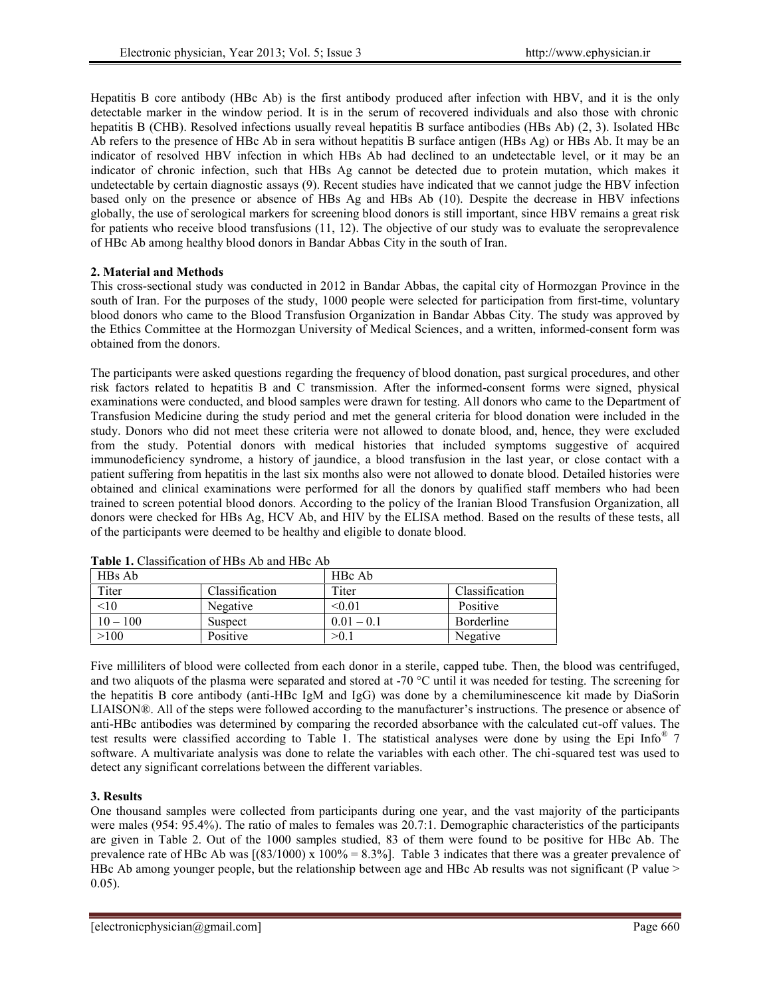Hepatitis B core antibody (HBc Ab) is the first antibody produced after infection with HBV, and it is the only detectable marker in the window period. It is in the serum of recovered individuals and also those with chronic hepatitis B (CHB). Resolved infections usually reveal hepatitis B surface antibodies (HBs Ab) (2, 3). Isolated HBc Ab refers to the presence of HBc Ab in sera without hepatitis B surface antigen (HBs Ag) or HBs Ab. It may be an indicator of resolved HBV infection in which HBs Ab had declined to an undetectable level, or it may be an indicator of chronic infection, such that HBs Ag cannot be detected due to protein mutation, which makes it undetectable by certain diagnostic assays (9). Recent studies have indicated that we cannot judge the HBV infection based only on the presence or absence of HBs Ag and HBs Ab (10). Despite the decrease in HBV infections globally, the use of serological markers for screening blood donors is still important, since HBV remains a great risk for patients who receive blood transfusions (11, 12). The objective of our study was to evaluate the seroprevalence of HBc Ab among healthy blood donors in Bandar Abbas City in the south of Iran.

# **2. Material and Methods**

This cross-sectional study was conducted in 2012 in Bandar Abbas, the capital city of Hormozgan Province in the south of Iran. For the purposes of the study, 1000 people were selected for participation from first-time, voluntary blood donors who came to the Blood Transfusion Organization in Bandar Abbas City. The study was approved by the Ethics Committee at the Hormozgan University of Medical Sciences, and a written, informed-consent form was obtained from the donors.

The participants were asked questions regarding the frequency of blood donation, past surgical procedures, and other risk factors related to hepatitis B and C transmission. After the informed-consent forms were signed, physical examinations were conducted, and blood samples were drawn for testing. All donors who came to the Department of Transfusion Medicine during the study period and met the general criteria for blood donation were included in the study. Donors who did not meet these criteria were not allowed to donate blood, and, hence, they were excluded from the study. Potential donors with medical histories that included symptoms suggestive of acquired immunodeficiency syndrome, a history of jaundice, a blood transfusion in the last year, or close contact with a patient suffering from hepatitis in the last six months also were not allowed to donate blood. Detailed histories were obtained and clinical examinations were performed for all the donors by qualified staff members who had been trained to screen potential blood donors. According to the policy of the Iranian Blood Transfusion Organization, all donors were checked for HBs Ag, HCV Ab, and HIV by the ELISA method. Based on the results of these tests, all of the participants were deemed to be healthy and eligible to donate blood.

| HBs Ab     |                | HBc Ab       |                |
|------------|----------------|--------------|----------------|
| Titer      | Classification | Titer        | Classification |
| < 10       | Negative       | < 0.01       | Positive       |
| $10 - 100$ | Suspect        | $0.01 - 0.1$ | Borderline     |
| >100       | Positive       | >0.1         | Negative       |

**Table 1.** Classification of HBs Ab and HBc Ab

Five milliliters of blood were collected from each donor in a sterile, capped tube. Then, the blood was centrifuged, and two aliquots of the plasma were separated and stored at -70 °C until it was needed for testing. The screening for the hepatitis B core antibody (anti-HBc IgM and IgG) was done by a chemiluminescence kit made by DiaSorin LIAISON®. All of the steps were followed according to the manufacturer's instructions. The presence or absence of anti-HBc antibodies was determined by comparing the recorded absorbance with the calculated cut-off values. The test results were classified according to Table 1. The statistical analyses were done by using the Epi Info® 7 software. A multivariate analysis was done to relate the variables with each other. The chi-squared test was used to detect any significant correlations between the different variables.

# **3. Results**

One thousand samples were collected from participants during one year, and the vast majority of the participants were males (954: 95.4%). The ratio of males to females was 20.7:1. Demographic characteristics of the participants are given in Table 2. Out of the 1000 samples studied, 83 of them were found to be positive for HBc Ab. The prevalence rate of HBc Ab was  $[(83/1000) \times 100\% = 8.3\%]$ . Table 3 indicates that there was a greater prevalence of HBc Ab among younger people, but the relationship between age and HBc Ab results was not significant (P value > 0.05).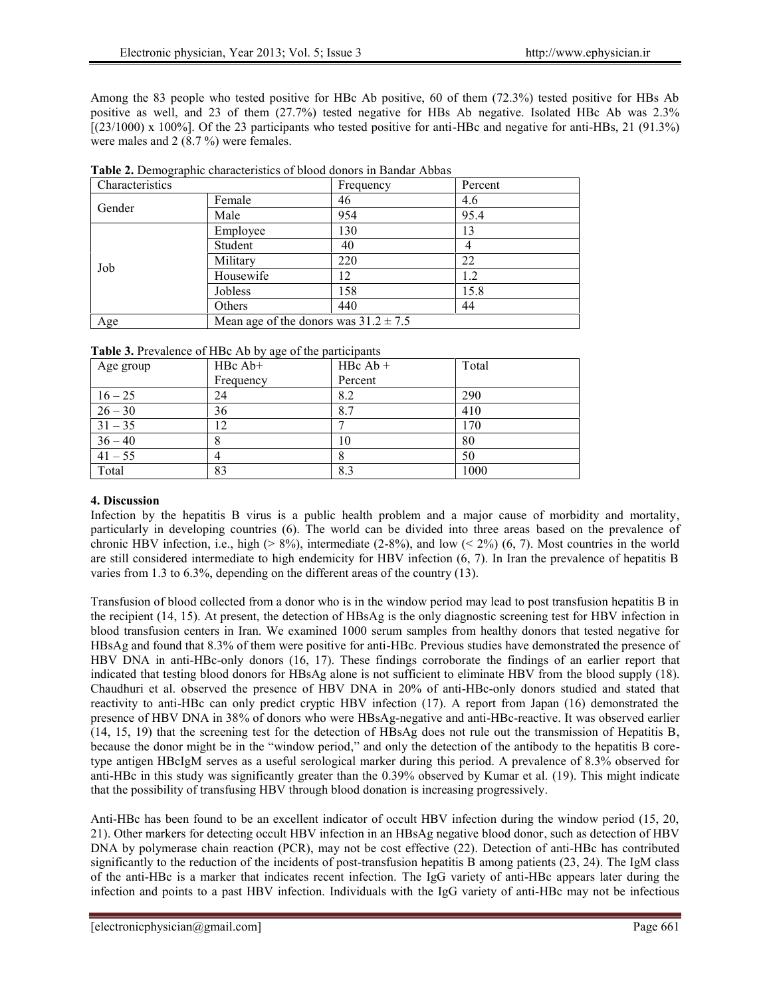Among the 83 people who tested positive for HBc Ab positive, 60 of them (72.3%) tested positive for HBs Ab positive as well, and 23 of them (27.7%) tested negative for HBs Ab negative. Isolated HBc Ab was 2.3% [(23/1000) x 100%]. Of the 23 participants who tested positive for anti-HBc and negative for anti-HBs, 21 (91.3%) were males and 2 (8.7 %) were females.

| Characteristics |                                           | Frequency | Percent |
|-----------------|-------------------------------------------|-----------|---------|
| Gender          | Female                                    | 46        | 4.6     |
|                 | Male                                      | 954       | 95.4    |
|                 | Employee                                  | 130       | 13      |
|                 | Student                                   | 40        | 4       |
| Job             | Military                                  | 220       | 22      |
|                 | Housewife                                 | 12        | 1.2     |
|                 | Jobless                                   | 158       | 15.8    |
|                 | Others                                    | 440       | 44      |
| Age             | Mean age of the donors was $31.2 \pm 7.5$ |           |         |

| Table 2. Demographic characteristics of blood donors in Bandar Abbas |  |
|----------------------------------------------------------------------|--|
|----------------------------------------------------------------------|--|

| Table 3. Prevalence of HBc Ab by age of the participants |  |  |
|----------------------------------------------------------|--|--|
|                                                          |  |  |

| Age group | $H Bc$ Ab+ | $H Bc Ab +$ | Total |
|-----------|------------|-------------|-------|
|           |            |             |       |
|           | Frequency  | Percent     |       |
| $16 - 25$ | 24         | 8.2         | 290   |
| $26 - 30$ | 36         | 8.7         | 410   |
| $31 - 35$ | 12         |             | 170   |
| $36 - 40$ | 8          | 10          | 80    |
| $41 - 55$ | 4          | 8           | 50    |
| Total     | 83         | 8.3         | 1000  |

# **4. Discussion**

Infection by the hepatitis B virus is a public health problem and a major cause of morbidity and mortality, particularly in developing countries (6). The world can be divided into three areas based on the prevalence of chronic HBV infection, i.e., high ( $> 8\%$ ), intermediate (2-8%), and low ( $< 2\%$ ) (6, 7). Most countries in the world are still considered intermediate to high endemicity for HBV infection (6, 7). In Iran the prevalence of hepatitis B varies from 1.3 to 6.3%, depending on the different areas of the country (13).

Transfusion of blood collected from a donor who is in the window period may lead to post transfusion hepatitis B in the recipient (14, 15). At present, the detection of HBsAg is the only diagnostic screening test for HBV infection in blood transfusion centers in Iran. We examined 1000 serum samples from healthy donors that tested negative for HBsAg and found that 8.3% of them were positive for anti-HBc. Previous studies have demonstrated the presence of HBV DNA in anti-HBc-only donors (16, 17). These findings corroborate the findings of an earlier report that indicated that testing blood donors for HBsAg alone is not sufficient to eliminate HBV from the blood supply (18). Chaudhuri et al. observed the presence of HBV DNA in 20% of anti-HBc-only donors studied and stated that reactivity to anti-HBc can only predict cryptic HBV infection (17). A report from Japan (16) demonstrated the presence of HBV DNA in 38% of donors who were HBsAg-negative and anti-HBc-reactive. It was observed earlier (14, 15, 19) that the screening test for the detection of HBsAg does not rule out the transmission of Hepatitis B, because the donor might be in the "window period," and only the detection of the antibody to the hepatitis B coretype antigen HBcIgM serves as a useful serological marker during this period. A prevalence of 8.3% observed for anti-HBc in this study was significantly greater than the 0.39% observed by Kumar et al. (19). This might indicate that the possibility of transfusing HBV through blood donation is increasing progressively.

Anti-HBc has been found to be an excellent indicator of occult HBV infection during the window period (15, 20, 21). Other markers for detecting occult HBV infection in an HBsAg negative blood donor, such as detection of HBV DNA by polymerase chain reaction (PCR), may not be cost effective (22). Detection of anti-HBc has contributed significantly to the reduction of the incidents of post-transfusion hepatitis B among patients (23, 24). The IgM class of the anti-HBc is a marker that indicates recent infection. The IgG variety of anti-HBc appears later during the infection and points to a past HBV infection. Individuals with the IgG variety of anti-HBc may not be infectious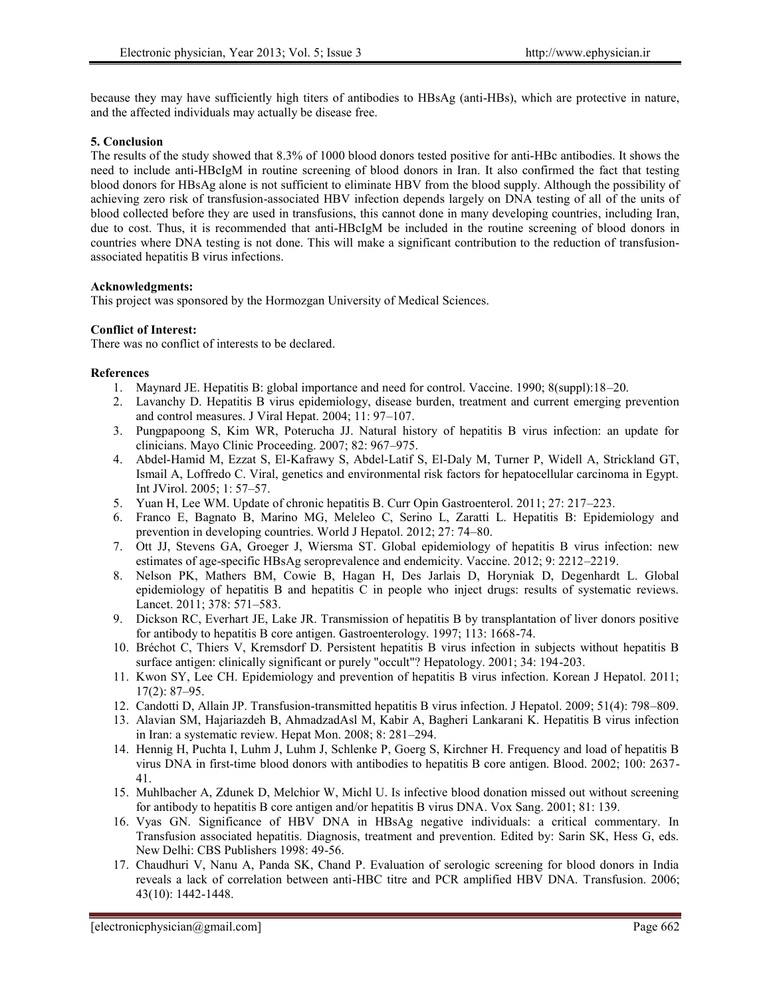because they may have sufficiently high titers of antibodies to HBsAg (anti-HBs), which are protective in nature, and the affected individuals may actually be disease free.

# **5. Conclusion**

The results of the study showed that 8.3% of 1000 blood donors tested positive for anti-HBc antibodies. It shows the need to include anti-HBcIgM in routine screening of blood donors in Iran. It also confirmed the fact that testing blood donors for HBsAg alone is not sufficient to eliminate HBV from the blood supply. Although the possibility of achieving zero risk of transfusion-associated HBV infection depends largely on DNA testing of all of the units of blood collected before they are used in transfusions, this cannot done in many developing countries, including Iran, due to cost. Thus, it is recommended that anti-HBcIgM be included in the routine screening of blood donors in countries where DNA testing is not done. This will make a significant contribution to the reduction of transfusion associated hepatitis B virus infections.

### **Acknowledgments:**

This project was sponsored by the Hormozgan University of Medical Sciences.

### **Conflict of Interest:**

There was no conflict of interests to be declared.

### **References**

- 1. Maynard JE. Hepatitis B: global importance and need for control. Vaccine. 1990; 8(suppl):18–20.
- 2. Lavanchy D. Hepatitis B virus epidemiology, disease burden, treatment and current emerging prevention and control measures. J Viral Hepat. 2004; 11: 97–107.
- 3. Pungpapoong S, Kim WR, Poterucha JJ. Natural history of hepatitis B virus infection: an update for clinicians. Mayo Clinic Proceeding. 2007; 82: 967–975.
- 4. Abdel-Hamid M, Ezzat S, El-Kafrawy S, Abdel-Latif S, El-Daly M, Turner P, Widell A, Strickland GT, Ismail A, Loffredo C. Viral, genetics and environmental risk factors for hepatocellular carcinoma in Egypt. Int JVirol. 2005; 1: 57–57.
- 5. Yuan H, Lee WM. Update of chronic hepatitis B. Curr Opin Gastroenterol. 2011; 27: 217–223.
- 6. Franco E, Bagnato B, Marino MG, Meleleo C, Serino L, Zaratti L. Hepatitis B: Epidemiology and prevention in developing countries. World J Hepatol. 2012; 27: 74–80.
- 7. Ott JJ, Stevens GA, Groeger J, Wiersma ST. Global epidemiology of hepatitis B virus infection: new estimates of age-specific HBsAg seroprevalence and endemicity. Vaccine. 2012; 9: 2212–2219.
- 8. Nelson PK, Mathers BM, Cowie B, Hagan H, Des Jarlais D, Horyniak D, Degenhardt L. Global epidemiology of hepatitis B and hepatitis C in people who inject drugs: results of systematic reviews. Lancet. 2011; 378: 571–583.
- 9. Dickson RC, Everhart JE, Lake JR. Transmission of hepatitis B by transplantation of liver donors positive for antibody to hepatitis B core antigen. Gastroenterology. 1997; 113: 1668-74.
- 10. Bréchot C, Thiers V, Kremsdorf D. Persistent hepatitis B virus infection in subjects without hepatitis B surface antigen: clinically significant or purely "occult"? Hepatology. 2001; 34: 194-203.
- 11. Kwon SY, Lee CH. Epidemiology and prevention of hepatitis B virus infection. Korean J Hepatol. 2011; 17(2): 87–95.
- 12. Candotti D, Allain JP. Transfusion-transmitted hepatitis B virus infection. J Hepatol. 2009; 51(4): 798–809.
- 13. Alavian SM, Hajariazdeh B, AhmadzadAsl M, Kabir A, Bagheri Lankarani K. Hepatitis B virus infection in Iran: a systematic review. Hepat Mon. 2008; 8: 281–294.
- 14. Hennig H, Puchta I, Luhm J, Luhm J, Schlenke P, Goerg S, Kirchner H. Frequency and load of hepatitis B virus DNA in first-time blood donors with antibodies to hepatitis B core antigen. Blood. 2002; 100: 2637- 41.
- 15. Muhlbacher A, Zdunek D, Melchior W, Michl U. Is infective blood donation missed out without screening for antibody to hepatitis B core antigen and/or hepatitis B virus DNA. Vox Sang. 2001; 81: 139.
- 16. Vyas GN. Significance of HBV DNA in HBsAg negative individuals: a critical commentary. In Transfusion associated hepatitis. Diagnosis, treatment and prevention. Edited by: Sarin SK, Hess G, eds. New Delhi: CBS Publishers 1998: 49-56.
- 17. Chaudhuri V, Nanu A, Panda SK, Chand P. Evaluation of serologic screening for blood donors in India reveals a lack of correlation between anti-HBC titre and PCR amplified HBV DNA. Transfusion. 2006; 43(10): 1442-1448.